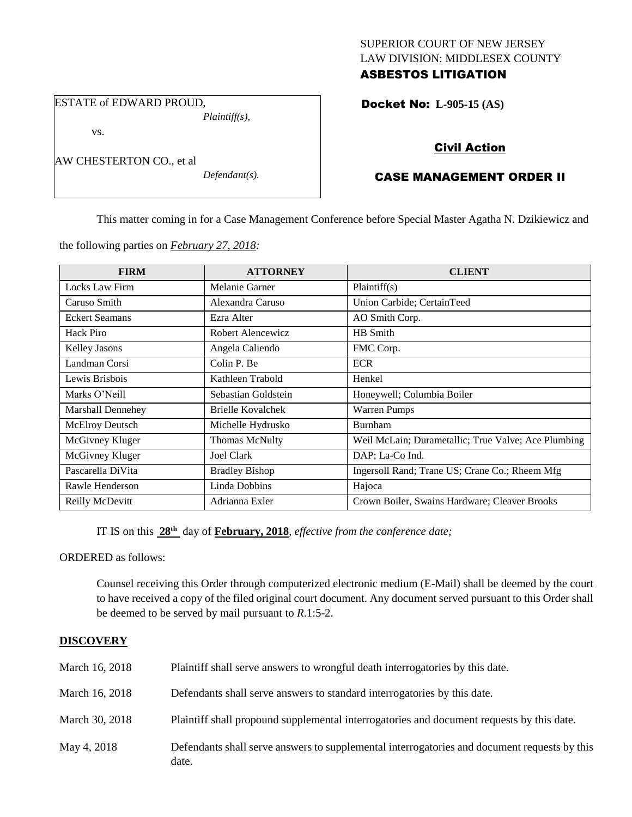### SUPERIOR COURT OF NEW JERSEY LAW DIVISION: MIDDLESEX COUNTY ASBESTOS LITIGATION

ESTATE of EDWARD PROUD, *Plaintiff(s),*

vs.

AW CHESTERTON CO., et al

*Defendant(s).*

# Docket No: **L-905-15 (AS)**

# Civil Action

# CASE MANAGEMENT ORDER II

This matter coming in for a Case Management Conference before Special Master Agatha N. Dzikiewicz and

the following parties on *February 27, 2018:*

| <b>FIRM</b>           | <b>ATTORNEY</b>       | <b>CLIENT</b>                                       |
|-----------------------|-----------------------|-----------------------------------------------------|
| Locks Law Firm        | Melanie Garner        | Plaintiff(s)                                        |
| Caruso Smith          | Alexandra Caruso      | Union Carbide; CertainTeed                          |
| <b>Eckert Seamans</b> | Ezra Alter            | AO Smith Corp.                                      |
| Hack Piro             | Robert Alencewicz     | HB Smith                                            |
| <b>Kelley Jasons</b>  | Angela Caliendo       | FMC Corp.                                           |
| Landman Corsi         | Colin P. Be           | <b>ECR</b>                                          |
| Lewis Brisbois        | Kathleen Trabold      | Henkel                                              |
| Marks O'Neill         | Sebastian Goldstein   | Honeywell; Columbia Boiler                          |
| Marshall Dennehey     | Brielle Kovalchek     | <b>Warren Pumps</b>                                 |
| McElroy Deutsch       | Michelle Hydrusko     | <b>Burnham</b>                                      |
| McGivney Kluger       | Thomas McNulty        | Weil McLain; Durametallic; True Valve; Ace Plumbing |
| McGivney Kluger       | <b>Joel Clark</b>     | DAP; La-Co Ind.                                     |
| Pascarella DiVita     | <b>Bradley Bishop</b> | Ingersoll Rand; Trane US; Crane Co.; Rheem Mfg      |
| Rawle Henderson       | Linda Dobbins         | Hajoca                                              |
| Reilly McDevitt       | Adrianna Exler        | Crown Boiler, Swains Hardware; Cleaver Brooks       |

IT IS on this **28th** day of **February, 2018**, *effective from the conference date;*

ORDERED as follows:

Counsel receiving this Order through computerized electronic medium (E-Mail) shall be deemed by the court to have received a copy of the filed original court document. Any document served pursuant to this Order shall be deemed to be served by mail pursuant to *R*.1:5-2.

### **DISCOVERY**

| March 16, 2018 | Plaintiff shall serve answers to wrongful death interrogatories by this date.                         |
|----------------|-------------------------------------------------------------------------------------------------------|
| March 16, 2018 | Defendants shall serve answers to standard interrogatories by this date.                              |
| March 30, 2018 | Plaintiff shall propound supplemental interrogatories and document requests by this date.             |
| May 4, 2018    | Defendants shall serve answers to supplemental interrogatories and document requests by this<br>date. |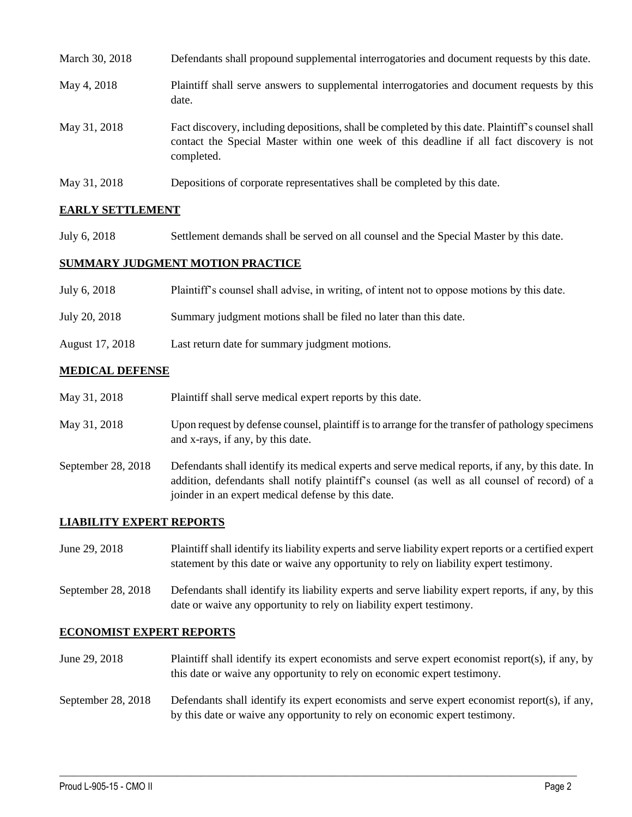| March 30, 2018 | Defendants shall propound supplemental interrogatories and document requests by this date.                                                                                                                  |
|----------------|-------------------------------------------------------------------------------------------------------------------------------------------------------------------------------------------------------------|
| May 4, 2018    | Plaintiff shall serve answers to supplemental interrogatories and document requests by this<br>date.                                                                                                        |
| May 31, 2018   | Fact discovery, including depositions, shall be completed by this date. Plaintiff's counsel shall<br>contact the Special Master within one week of this deadline if all fact discovery is not<br>completed. |
| May 31, 2018   | Depositions of corporate representatives shall be completed by this date.                                                                                                                                   |

## **EARLY SETTLEMENT**

July 6, 2018 Settlement demands shall be served on all counsel and the Special Master by this date.

#### **SUMMARY JUDGMENT MOTION PRACTICE**

| July 6, 2018    | Plaintiff's counsel shall advise, in writing, of intent not to oppose motions by this date. |
|-----------------|---------------------------------------------------------------------------------------------|
| July 20, 2018   | Summary judgment motions shall be filed no later than this date.                            |
| August 17, 2018 | Last return date for summary judgment motions.                                              |

### **MEDICAL DEFENSE**

| May 31, 2018 | Plaintiff shall serve medical expert reports by this date. |
|--------------|------------------------------------------------------------|
|--------------|------------------------------------------------------------|

- May 31, 2018 Upon request by defense counsel, plaintiff is to arrange for the transfer of pathology specimens and x-rays, if any, by this date.
- September 28, 2018 Defendants shall identify its medical experts and serve medical reports, if any, by this date. In addition, defendants shall notify plaintiff's counsel (as well as all counsel of record) of a joinder in an expert medical defense by this date.

### **LIABILITY EXPERT REPORTS**

June 29, 2018 Plaintiff shall identify its liability experts and serve liability expert reports or a certified expert statement by this date or waive any opportunity to rely on liability expert testimony.

September 28, 2018 Defendants shall identify its liability experts and serve liability expert reports, if any, by this date or waive any opportunity to rely on liability expert testimony.

### **ECONOMIST EXPERT REPORTS**

June 29, 2018 Plaintiff shall identify its expert economists and serve expert economist report(s), if any, by this date or waive any opportunity to rely on economic expert testimony.

## September 28, 2018 Defendants shall identify its expert economists and serve expert economist report(s), if any, by this date or waive any opportunity to rely on economic expert testimony.

 $\_$  ,  $\_$  ,  $\_$  ,  $\_$  ,  $\_$  ,  $\_$  ,  $\_$  ,  $\_$  ,  $\_$  ,  $\_$  ,  $\_$  ,  $\_$  ,  $\_$  ,  $\_$  ,  $\_$  ,  $\_$  ,  $\_$  ,  $\_$  ,  $\_$  ,  $\_$  ,  $\_$  ,  $\_$  ,  $\_$  ,  $\_$  ,  $\_$  ,  $\_$  ,  $\_$  ,  $\_$  ,  $\_$  ,  $\_$  ,  $\_$  ,  $\_$  ,  $\_$  ,  $\_$  ,  $\_$  ,  $\_$  ,  $\_$  ,